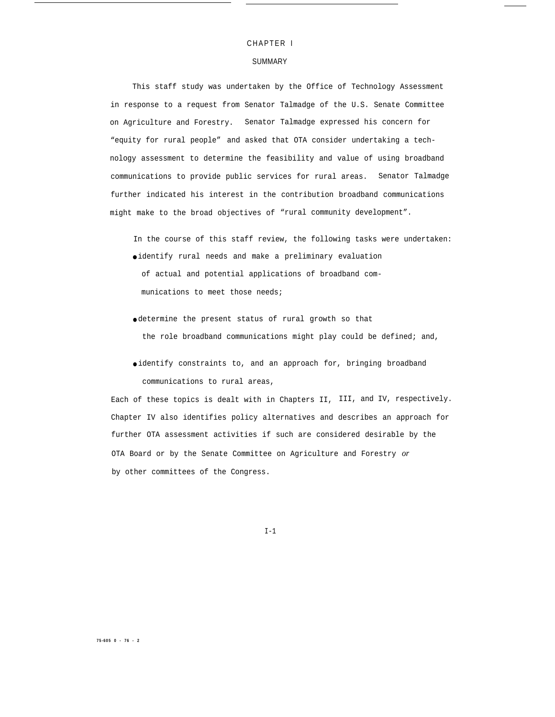# CHAPTER I

#### SUMMARY

This staff study was undertaken by the Office of Technology Assessment in response to a request from Senator Talmadge of the U.S. Senate Committee on Agriculture and Forestry. Senator Talmadge expressed his concern for "equity for rural people" and asked that OTA consider undertaking a technology assessment to determine the feasibility and value of using broadband communications to provide public services for rural areas. Senator Talmadge further indicated his interest in the contribution broadband communications might make to the broad objectives of "rural community development".

In the course of this staff review, the following tasks were undertaken: ● identify rural needs and make a preliminary evaluation

- of actual and potential applications of broadband communications to meet those needs;
- determine the present status of rural growth so that the role broadband communications might play could be defined; and,
- identify constraints to, and an approach for, bringing broadband communications to rural areas,

Each of these topics is dealt with in Chapters II, III, and IV, respectively. Chapter IV also identifies policy alternatives and describes an approach for further OTA assessment activities if such are considered desirable by the OTA Board or by the Senate Committee on Agriculture and Forestry *or* by other committees of the Congress.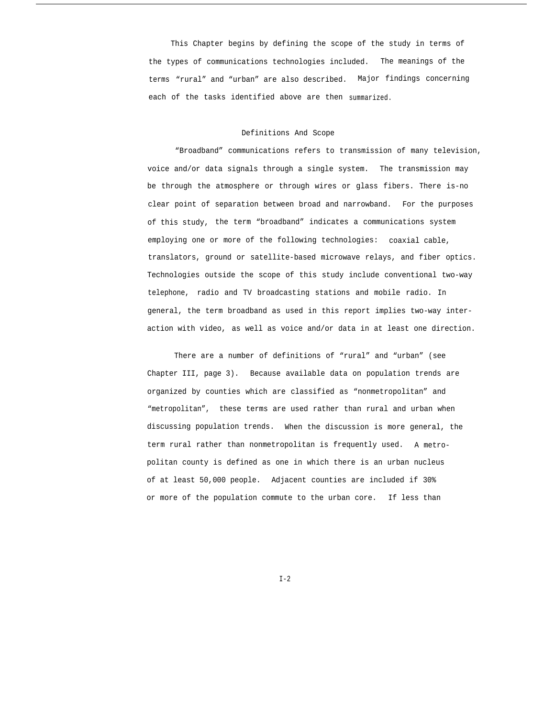This Chapter begins by defining the scope of the study in terms of the types of communications technologies included. The meanings of the terms "rural" and "urban" are also described. Major findings concerning each of the tasks identified above are then summarized.

#### Definitions And Scope

"Broadband" communications refers to transmission of many television, voice and/or data signals through a single system. The transmission may be through the atmosphere or through wires or glass fibers. There is-no clear point of separation between broad and narrowband. For the purposes of this study, the term "broadband" indicates a communications system employing one or more of the following technologies: coaxial cable, translators, ground or satellite-based microwave relays, and fiber optics. Technologies outside the scope of this study include conventional two-way telephone, radio and TV broadcasting stations and mobile radio. In general, the term broadband as used in this report implies two-way interaction with video, as well as voice and/or data in at least one direction.

There are a number of definitions of "rural" and "urban" (see Chapter III, page 3). Because available data on population trends are organized by counties which are classified as "nonmetropolitan" and "metropolitan", these terms are used rather than rural and urban when discussing population trends. When the discussion is more general, the term rural rather than nonmetropolitan is frequently used. A metropolitan county is defined as one in which there is an urban nucleus of at least 50,000 people. Adjacent counties are included if 30% or more of the population commute to the urban core. If less than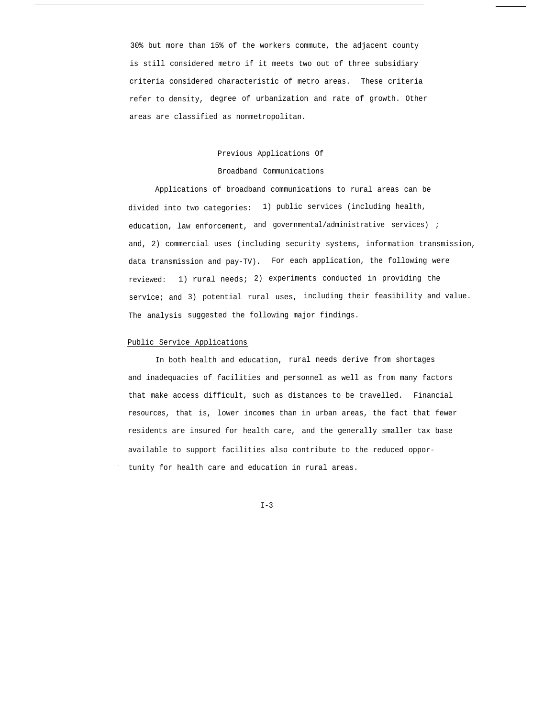30% but more than 15% of the workers commute, the adjacent county is still considered metro if it meets two out of three subsidiary criteria considered characteristic of metro areas. These criteria refer to density, degree of urbanization and rate of growth. Other areas are classified as nonmetropolitan.

# Previous Applications Of

## Broadband Communications

Applications of broadband communications to rural areas can be divided into two categories: 1) public services (including health, education, law enforcement, and governmental/administrative services) ; and, 2) commercial uses (including security systems, information transmission, data transmission and pay-TV). For each application, the following were reviewed: 1) rural needs; 2) experiments conducted in providing the service; and 3) potential rural uses, including their feasibility and value. The analysis suggested the following major findings.

### Public Service Applications

In both health and education, rural needs derive from shortages and inadequacies of facilities and personnel as well as from many factors that make access difficult, such as distances to be travelled. Financial resources, that is, lower incomes than in urban areas, the fact that fewer residents are insured for health care, and the generally smaller tax base available to support facilities also contribute to the reduced oppor tunity for health care and education in rural areas.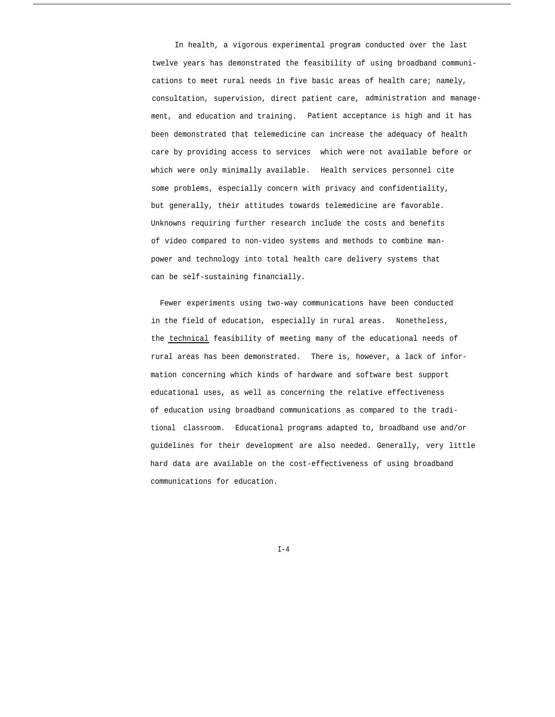In health, a vigorous experimental program conducted over the last twelve years has demonstrated the feasibility of using broadband communications to meet rural needs in five basic areas of health care; namely, consultation, supervision, direct patient care, administration and management, and education and training. Patient acceptance is high and it has been demonstrated that telemedicine can increase the adequacy of health care by providing access to services which were not available before or which were only minimally available. Health services personnel cite some problems, especially concern with privacy and confidentiality, but generally, their attitudes towards telemedicine are favorable. Unknowns requiring further research include the costs and benefits of video compared to non-video systems and methods to combine manpower and technology into total health care delivery systems that can be self-sustaining financially.

Fewer experiments using two-way communications have been conducted in the field of education, especially in rural areas. Nonetheless, the technical feasibility of meeting many of the educational needs of rural areas has been demonstrated. There is, however, a lack of information concerning which kinds of hardware and software best support educational uses, as well as concerning the relative effectiveness of education using broadband communications as compared to the traditional classroom. Educational programs adapted to, broadband use and/or guidelines for their development are also needed. Generally, very little hard data are available on the cost-effectiveness of using broadband communications for education.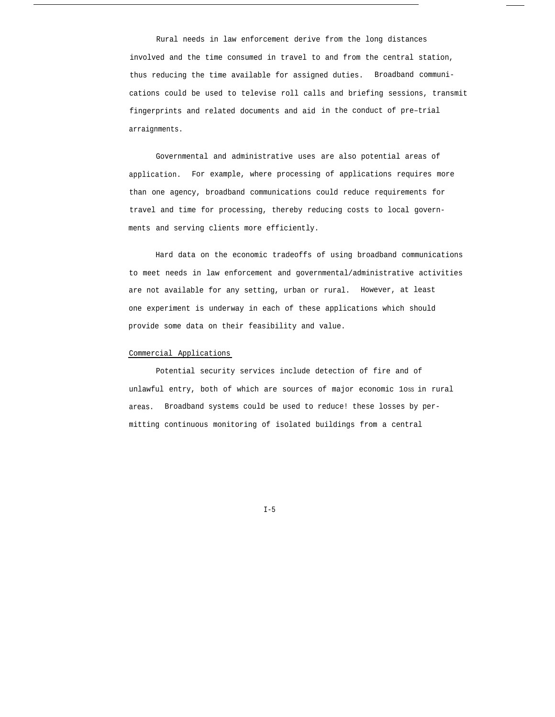Rural needs in law enforcement derive from the long distances involved and the time consumed in travel to and from the central station, thus reducing the time available for assigned duties. Broadband communications could be used to televise roll calls and briefing sessions, transmit fingerprints and related documents and aid in the conduct of pre–trial arraignments.

Governmental and administrative uses are also potential areas of application. For example, where processing of applications requires more than one agency, broadband communications could reduce requirements for travel and time for processing, thereby reducing costs to local governments and serving clients more efficiently.

Hard data on the economic tradeoffs of using broadband communications to meet needs in law enforcement and governmental/administrative activities are not available for any setting, urban or rural. However, at least one experiment is underway in each of these applications which should provide some data on their feasibility and value.

#### Commercial Applications

Potential security services include detection of fire and of unlawful entry, both of which are sources of major economic loss in rural areas. Broadband systems could be used to reduce! these losses by permitting continuous monitoring of isolated buildings from a central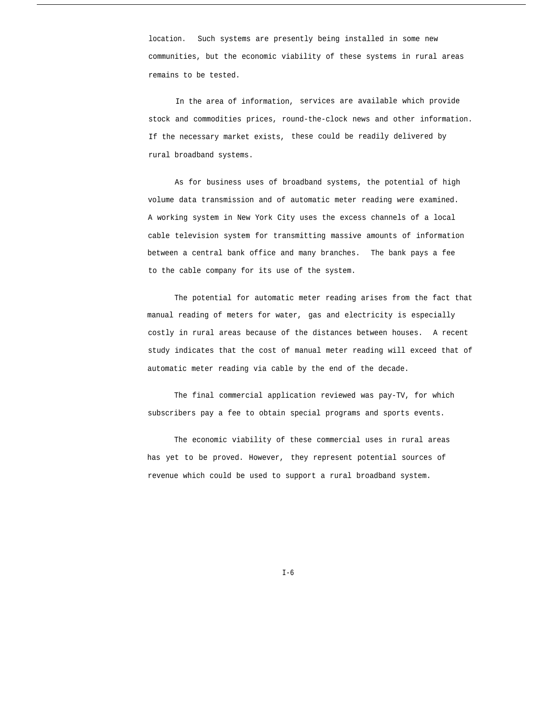location. Such systems are presently being installed in some new communities, but the economic viability of these systems in rural areas remains to be tested.

In the area of information, services are available which provide stock and commodities prices, round-the-clock news and other information. If the necessary market exists, these could be readily delivered by rural broadband systems.

As for business uses of broadband systems, the potential of high volume data transmission and of automatic meter reading were examined. A working system in New York City uses the excess channels of a local cable television system for transmitting massive amounts of information between a central bank office and many branches. The bank pays a fee to the cable company for its use of the system.

The potential for automatic meter reading arises from the fact that manual reading of meters for water, gas and electricity is especially costly in rural areas because of the distances between houses. A recent study indicates that the cost of manual meter reading will exceed that of automatic meter reading via cable by the end of the decade.

The final commercial application reviewed was pay-TV, for which subscribers pay a fee to obtain special programs and sports events.

The economic viability of these commercial uses in rural areas has yet to be proved. However, they represent potential sources of revenue which could be used to support a rural broadband system.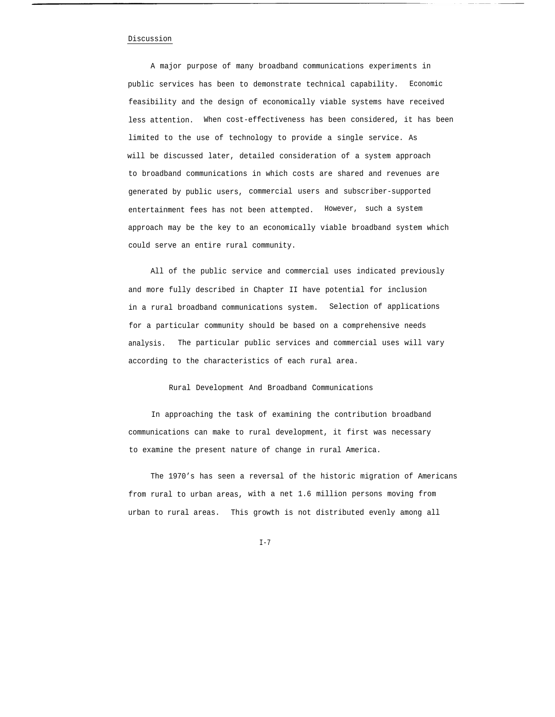### Discussion

A major purpose of many broadband communications experiments in public services has been to demonstrate technical capability. Economic feasibility and the design of economically viable systems have received less attention. When cost-effectiveness has been considered, it has been limited to the use of technology to provide a single service. As will be discussed later, detailed consideration of a system approach to broadband communications in which costs are shared and revenues are generated by public users, commercial users and subscriber-supported entertainment fees has not been attempted. However, such a system approach may be the key to an economically viable broadband system which could serve an entire rural community.

All of the public service and commercial uses indicated previously and more fully described in Chapter II have potential for inclusion in a rural broadband communications system. Selection of applications for a particular community should be based on a comprehensive needs analysis. The particular public services and commercial uses will vary according to the characteristics of each rural area.

Rural Development And Broadband Communications

In approaching the task of examining the contribution broadband communications can make to rural development, it first was necessary to examine the present nature of change in rural America.

The 1970's has seen a reversal of the historic migration of Americans from rural to urban areas, with a net 1.6 million persons moving from urban to rural areas. This growth is not distributed evenly among all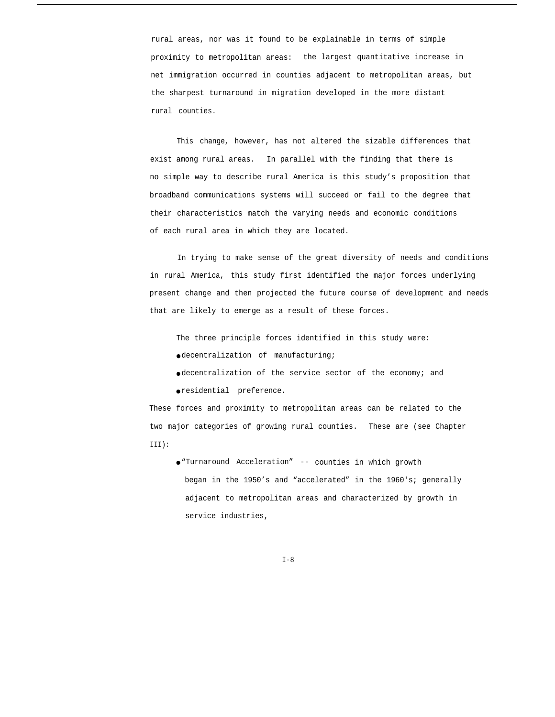rural areas, nor was it found to be explainable in terms of simple proximity to metropolitan areas: the largest quantitative increase in net immigration occurred in counties adjacent to metropolitan areas, but the sharpest turnaround in migration developed in the more distant rural counties.

This change, however, has not altered the sizable differences that exist among rural areas. In parallel with the finding that there is no simple way to describe rural America is this study's proposition that broadband communications systems will succeed or fail to the degree that their characteristics match the varying needs and economic conditions of each rural area in which they are located.

In trying to make sense of the great diversity of needs and conditions in rural America, this study first identified the major forces underlying present change and then projected the future course of development and needs that are likely to emerge as a result of these forces.

The three principle forces identified in this study were:

- decentralization of manufacturing;
- decentralization of the service sector of the economy; and
- residential preference.

These forces and proximity to metropolitan areas can be related to the two major categories of growing rural counties. These are (see Chapter III):

● "Turnaround Acceleration" -- counties in which growth began in the 1950's and "accelerated" in the 1960's; generally adjacent to metropolitan areas and characterized by growth in service industries,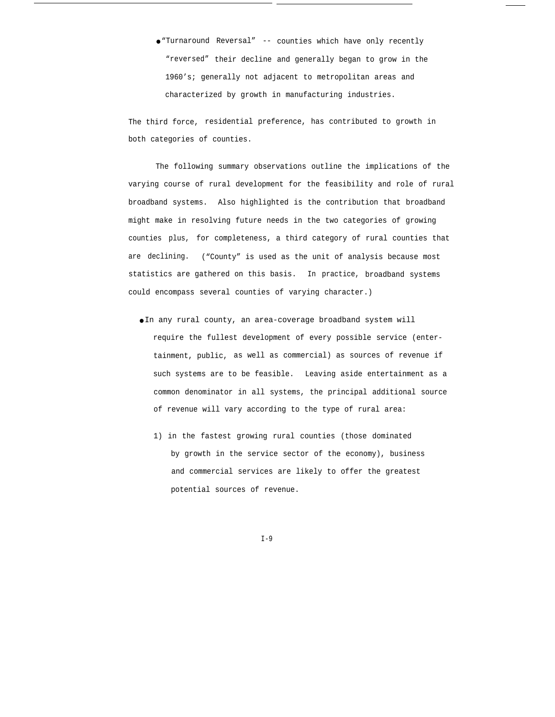● "Turnaround Reversal" -- counties which have only recently "reversed" their decline and generally began to grow in the 1960's; generally not adjacent to metropolitan areas and characterized by growth in manufacturing industries.

The third force, residential preference, has contributed to growth in both categories of counties.

The following summary observations outline the implications of the varying course of rural development for the feasibility and role of rural broadband systems. Also highlighted is the contribution that broadband might make in resolving future needs in the two categories of growing counties plus, for completeness, a third category of rural counties that are declining. ("County" is used as the unit of analysis because most statistics are gathered on this basis. In practice, broadband systems could encompass several counties of varying character.)

- In any rural county, an area-coverage broadband system will require the fullest development of every possible service (entertainment, public, as well as commercial) as sources of revenue if such systems are to be feasible. Leaving aside entertainment as a common denominator in all systems, the principal additional source of revenue will vary according to the type of rural area:
	- 1) in the fastest growing rural counties (those dominated by growth in the service sector of the economy), business and commercial services are likely to offer the greatest potential sources of revenue.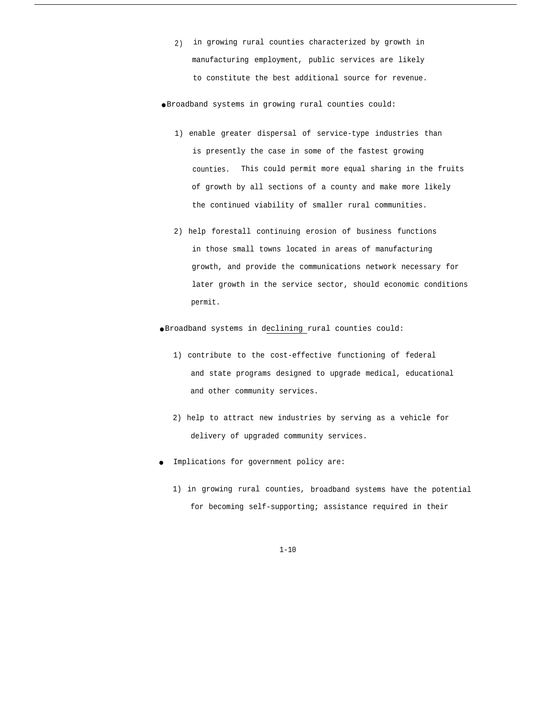- 2) in growing rural counties characterized by growth in manufacturing employment, public services are likely to constitute the best additional source for revenue.
- Broadband systems in growing rural counties could:
	- 1) enable greater dispersal of service-type industries than is presently the case in some of the fastest growing counties. This could permit more equal sharing in the fruits of growth by all sections of a county and make more likely the continued viability of smaller rural communities.
	- 2) help forestall continuing erosion of business functions in those small towns located in areas of manufacturing growth, and provide the communications network necessary for later growth in the service sector, should economic conditions permit.

# ● Broadband systems in declining rural counties could:

- 1) contribute to the cost-effective functioning of federal and state programs designed to upgrade medical, educational and other community services.
- 2) help to attract new industries by serving as a vehicle for delivery of upgraded community services.
- Implications for government policy are:
	- 1) in growing rural counties, broadband systems have the potential for becoming self-supporting; assistance required in their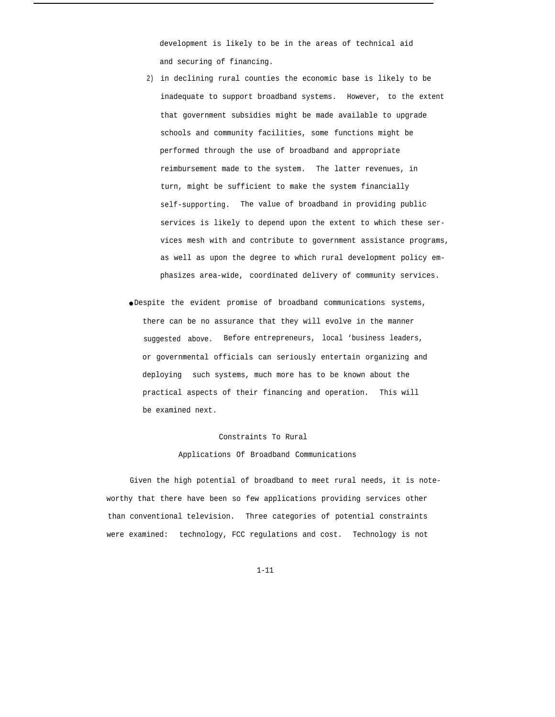development is likely to be in the areas of technical aid and securing of financing.

- 2) in declining rural counties the economic base is likely to be inadequate to support broadband systems. However, to the extent that government subsidies might be made available to upgrade schools and community facilities, some functions might be performed through the use of broadband and appropriate reimbursement made to the system. The latter revenues, in turn, might be sufficient to make the system financially self-supporting. The value of broadband in providing public services is likely to depend upon the extent to which these services mesh with and contribute to government assistance programs, as well as upon the degree to which rural development policy emphasizes area-wide, coordinated delivery of community services.
- Despite the evident promise of broadband communications systems, there can be no assurance that they will evolve in the manner suggested above. Before entrepreneurs, local 'business leaders, or governmental officials can seriously entertain organizing and deploying such systems, much more has to be known about the practical aspects of their financing and operation. This will be examined next.

Constraints To Rural Applications Of Broadband Communications

Given the high potential of broadband to meet rural needs, it is noteworthy that there have been so few applications providing services other than conventional television. Three categories of potential constraints were examined: technology, FCC regulations and cost. Technology is not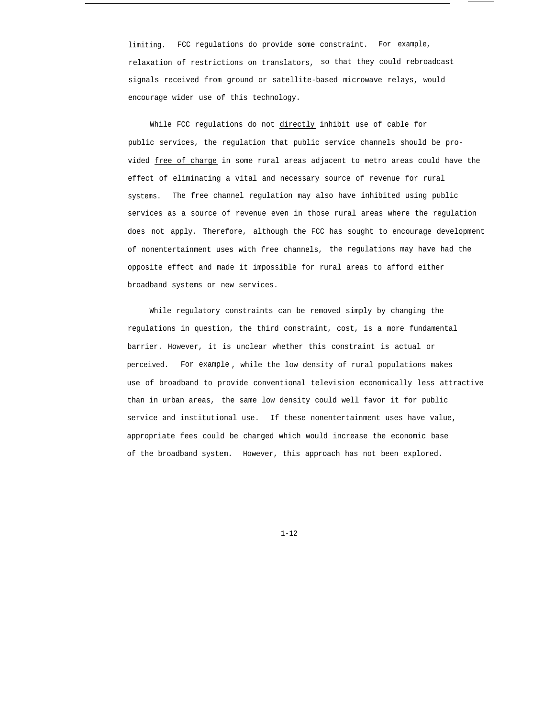limiting. FCC regulations do provide some constraint. For example, relaxation of restrictions on translators, so that they could rebroadcast signals received from ground or satellite-based microwave relays, would encourage wider use of this technology.

While FCC regulations do not directly inhibit use of cable for public services, the regulation that public service channels should be provided free of charge in some rural areas adjacent to metro areas could have the effect of eliminating a vital and necessary source of revenue for rural systems. The free channel regulation may also have inhibited using public services as a source of revenue even in those rural areas where the regulation does not apply. Therefore, although the FCC has sought to encourage development of nonentertainment uses with free channels, the regulations may have had the opposite effect and made it impossible for rural areas to afford either broadband systems or new services.

While regulatory constraints can be removed simply by changing the regulations in question, the third constraint, cost, is a more fundamental barrier. However, it is unclear whether this constraint is actual or perceived. For example , while the low density of rural populations makes use of broadband to provide conventional television economically less attractive than in urban areas, the same low density could well favor it for public service and institutional use. If these nonentertainment uses have value, appropriate fees could be charged which would increase the economic base of the broadband system. However, this approach has not been explored.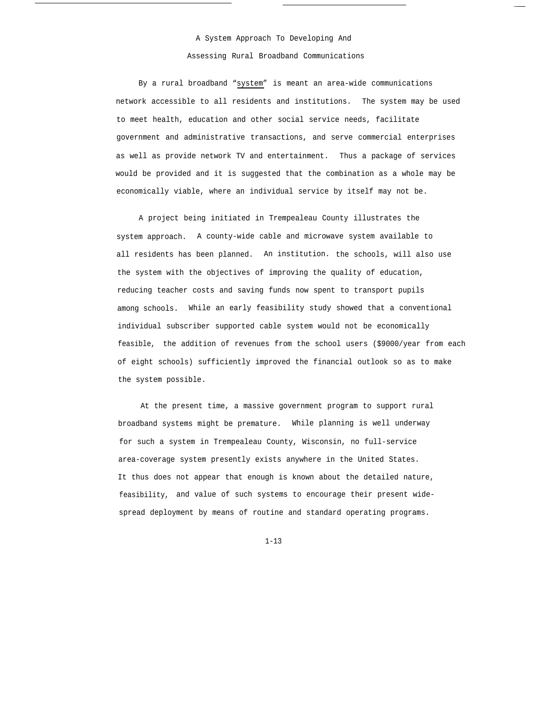A System Approach To Developing And Assessing Rural Broadband Communications

By a rural broadband "system" is meant an area-wide communications network accessible to all residents and institutions. The system may be used to meet health, education and other social service needs, facilitate government and administrative transactions, and serve commercial enterprises as well as provide network TV and entertainment. Thus a package of services would be provided and it is suggested that the combination as a whole may be economically viable, where an individual service by itself may not be.

A project being initiated in Trempealeau County illustrates the system approach. A county-wide cable and microwave system available to all residents has been planned. An institution. the schools, will also use the system with the objectives of improving the quality of education, reducing teacher costs and saving funds now spent to transport pupils among schools. While an early feasibility study showed that a conventional individual subscriber supported cable system would not be economically feasible, the addition of revenues from the school users (\$9000/year from each of eight schools) sufficiently improved the financial outlook so as to make the system possible.

At the present time, a massive government program to support rural broadband systems might be premature. While planning is well underway for such a system in Trempealeau County, Wisconsin, no full-service area-coverage system presently exists anywhere in the United States. It thus does not appear that enough is known about the detailed nature, feasibility, and value of such systems to encourage their present widespread deployment by means of routine and standard operating programs.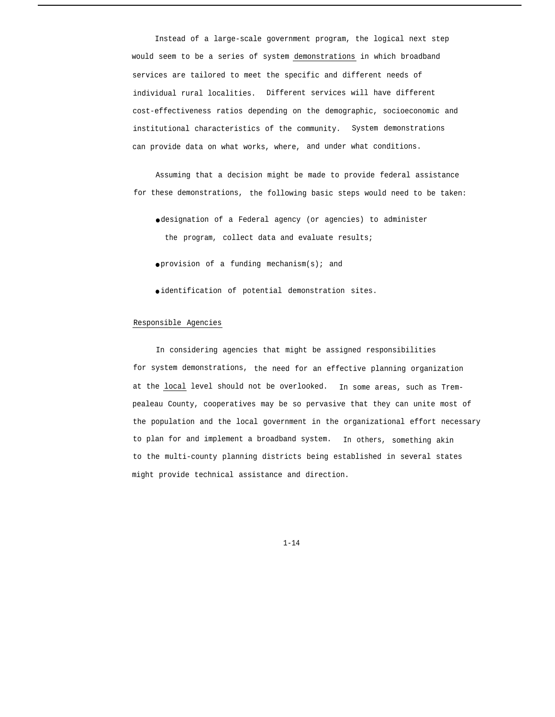Instead of a large-scale government program, the logical next step would seem to be a series of system demonstrations in which broadband services are tailored to meet the specific and different needs of individual rural localities. Different services will have different cost-effectiveness ratios depending on the demographic, socioeconomic and institutional characteristics of the community. System demonstrations can provide data on what works, where, and under what conditions.

Assuming that a decision might be made to provide federal assistance for these demonstrations, the following basic steps would need to be taken:

● designation of a Federal agency (or agencies) to administer the program, collect data and evaluate results;

 $\bullet$  provision of a funding mechanism(s); and

● identification of potential demonstration sites.

### Responsible Agencies

In considering agencies that might be assigned responsibilities for system demonstrations, the need for an effective planning organization at the local level should not be overlooked. In some areas, such as Trempealeau County, cooperatives may be so pervasive that they can unite most of the population and the local government in the organizational effort necessary to plan for and implement a broadband system. In others, something akin to the multi-county planning districts being established in several states might provide technical assistance and direction.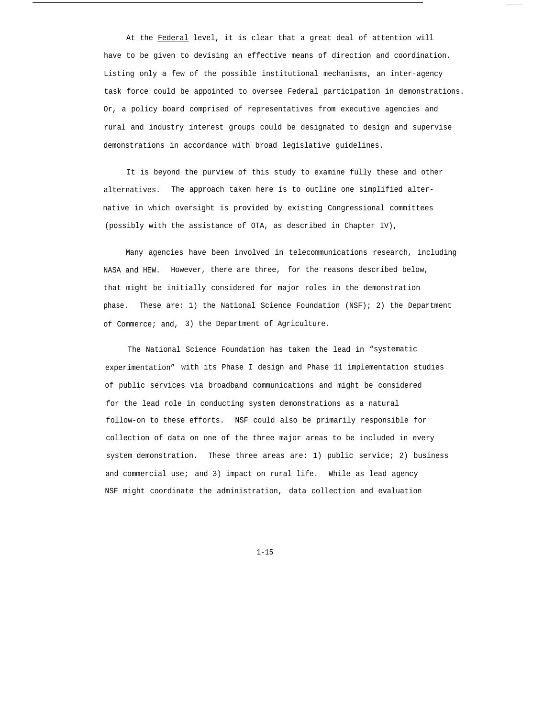At the Federal level, it is clear that a great deal of attention will have to be given to devising an effective means of direction and coordination. Listing only a few of the possible institutional mechanisms, an inter-agency task force could be appointed to oversee Federal participation in demonstrations. Or, a policy board comprised of representatives from executive agencies and rural and industry interest groups could be designated to design and supervise demonstrations in accordance with broad legislative guidelines.

It is beyond the purview of this study to examine fully these and other alternatives. The approach taken here is to outline one simplified alternative in which oversight is provided by existing Congressional committees (possibly with the assistance of OTA, as described in Chapter IV),

Many agencies have been involved in telecommunications research, including NASA and HEW. However, there are three, for the reasons described below, that might be initially considered for major roles in the demonstration phase. These are: 1) the National Science Foundation (NSF); 2) the Department of Commerce; and, 3) the Department of Agriculture.

The National Science Foundation has taken the lead in "systematic experimentation" with its Phase I design and Phase 11 implementation studies of public services via broadband communications and might be considered for the lead role in conducting system demonstrations as a natural follow-on to these efforts. NSF could also be primarily responsible for collection of data on one of the three major areas to be included in every system demonstration. These three areas are: 1) public service; 2) business and commercial use; and 3) impact on rural life. While as lead agency NSF might coordinate the administration, data collection and evaluation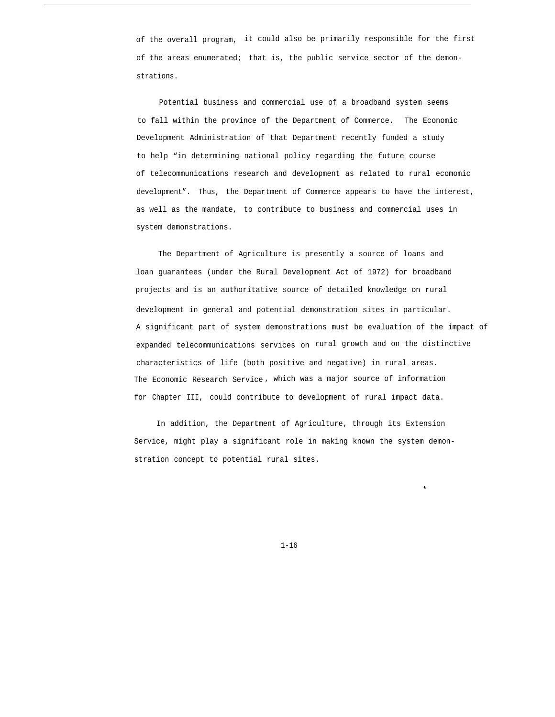of the overall program, it could also be primarily responsible for the first of the areas enumerated; that is, the public service sector of the demonstrations.

Potential business and commercial use of a broadband system seems to fall within the province of the Department of Commerce. The Economic Development Administration of that Department recently funded a study to help "in determining national policy regarding the future course of telecommunications research and development as related to rural ecomomic development". Thus, the Department of Commerce appears to have the interest, as well as the mandate, to contribute to business and commercial uses in system demonstrations.

The Department of Agriculture is presently a source of loans and loan guarantees (under the Rural Development Act of 1972) for broadband projects and is an authoritative source of detailed knowledge on rural development in general and potential demonstration sites in particular. A significant part of system demonstrations must be evaluation of the impact of expanded telecommunications services on rural growth and on the distinctive characteristics of life (both positive and negative) in rural areas. The Economic Research Service , which was a major source of information for Chapter III, could contribute to development of rural impact data.

In addition, the Department of Agriculture, through its Extension Service, might play a significant role in making known the system demonstration concept to potential rural sites.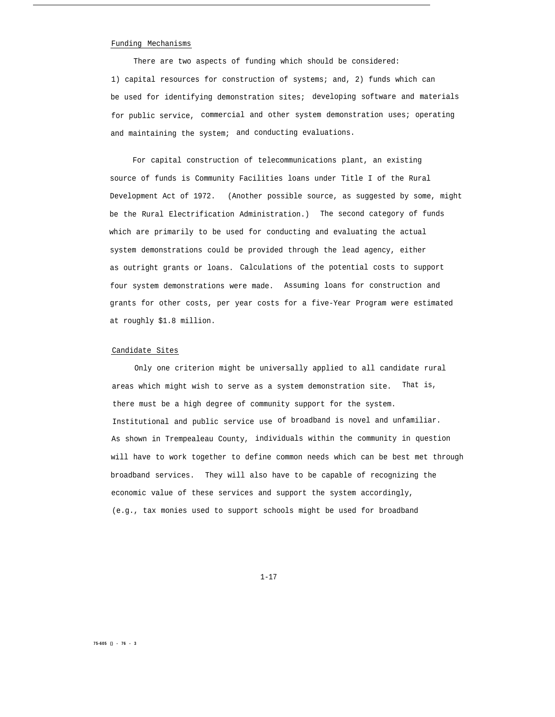### Funding Mechanisms

There are two aspects of funding which should be considered: 1) capital resources for construction of systems; and, 2) funds which can be used for identifying demonstration sites; developing software and materials for public service, commercial and other system demonstration uses; operating and maintaining the system; and conducting evaluations.

For capital construction of telecommunications plant, an existing source of funds is Community Facilities loans under Title I of the Rural Development Act of 1972. (Another possible source, as suggested by some, might be the Rural Electrification Administration.) The second category of funds which are primarily to be used for conducting and evaluating the actual system demonstrations could be provided through the lead agency, either as outright grants or loans. Calculations of the potential costs to support four system demonstrations were made. Assuming loans for construction and grants for other costs, per year costs for a five-Year Program were estimated at roughly \$1.8 million.

#### Candidate Sites

Only one criterion might be universally applied to all candidate rural areas which might wish to serve as a system demonstration site. That is, there must be a high degree of community support for the system. Institutional and public service use of broadband is novel and unfamiliar. As shown in Trempealeau County, individuals within the community in question will have to work together to define common needs which can be best met through broadband services. They will also have to be capable of recognizing the economic value of these services and support the system accordingly, (e.g., tax monies used to support schools might be used for broadband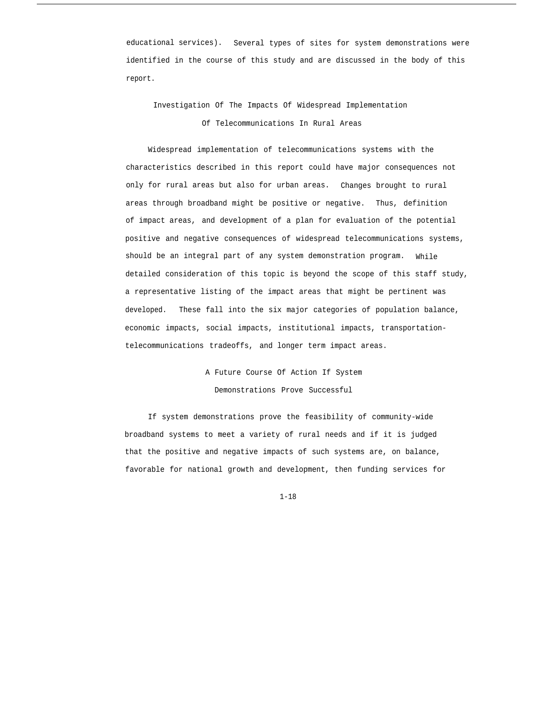educational services). Several types of sites for system demonstrations were identified in the course of this study and are discussed in the body of this report.

Investigation Of The Impacts Of Widespread Implementation Of Telecommunications In Rural Areas

Widespread implementation of telecommunications systems with the characteristics described in this report could have major consequences not only for rural areas but also for urban areas. Changes brought to rural areas through broadband might be positive or negative. Thus, definition of impact areas, and development of a plan for evaluation of the potential positive and negative consequences of widespread telecommunications systems, should be an integral part of any system demonstration program. While detailed consideration of this topic is beyond the scope of this staff study, a representative listing of the impact areas that might be pertinent was developed. These fall into the six major categories of population balance, economic impacts, social impacts, institutional impacts, transportationtelecommunications tradeoffs, and longer term impact areas.

> A Future Course Of Action If System Demonstrations Prove Successful

If system demonstrations prove the feasibility of community-wide broadband systems to meet a variety of rural needs and if it is judged that the positive and negative impacts of such systems are, on balance, favorable for national growth and development, then funding services for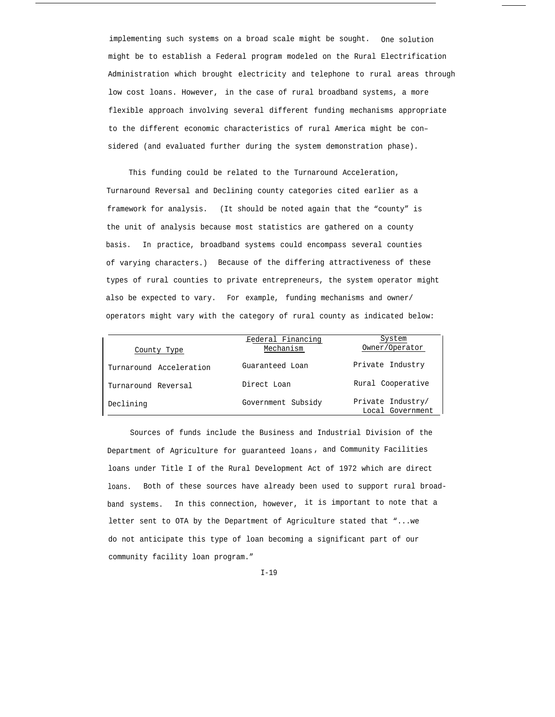implementing such systems on a broad scale might be sought. One solution might be to establish a Federal program modeled on the Rural Electrification Administration which brought electricity and telephone to rural areas through low cost loans. However, in the case of rural broadband systems, a more flexible approach involving several different funding mechanisms appropriate to the different economic characteristics of rural America might be con– sidered (and evaluated further during the system demonstration phase).

This funding could be related to the Turnaround Acceleration, Turnaround Reversal and Declining county categories cited earlier as a framework for analysis. (It should be noted again that the "county" is the unit of analysis because most statistics are gathered on a county basis. In practice, broadband systems could encompass several counties of varying characters.) Because of the differing attractiveness of these types of rural counties to private entrepreneurs, the system operator might also be expected to vary. For example, funding mechanisms and owner/ operators might vary with the category of rural county as indicated below:

|                         | Federal Financing  | System                                |
|-------------------------|--------------------|---------------------------------------|
| County Type             | Mechanism          | Owner/Operator                        |
| Turnaround Acceleration | Guaranteed Loan    | Private Industry                      |
| Turnaround Reversal     | Direct Loan        | Rural Cooperative                     |
| Declining               | Government Subsidy | Private Industry/<br>Local Government |

Sources of funds include the Business and Industrial Division of the Department of Agriculture for guaranteed loans , and Community Facilities loans under Title I of the Rural Development Act of 1972 which are direct loans. Both of these sources have already been used to support rural broadband systems. In this connection, however, it is important to note that a letter sent to OTA by the Department of Agriculture stated that "...we do not anticipate this type of loan becoming a significant part of our community facility loan program."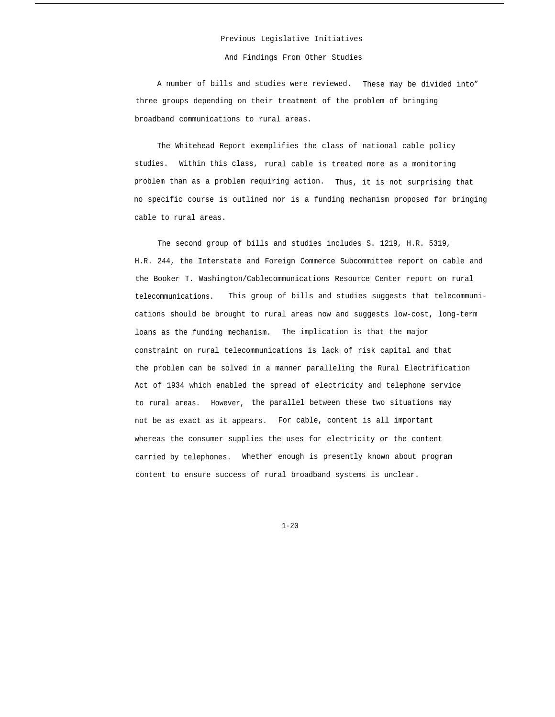## Previous Legislative Initiatives

### And Findings From Other Studies

A number of bills and studies were reviewed. These may be divided into" three groups depending on their treatment of the problem of bringing broadband communications to rural areas.

The Whitehead Report exemplifies the class of national cable policy studies. Within this class, rural cable is treated more as a monitoring problem than as a problem requiring action. Thus, it is not surprising that no specific course is outlined nor is a funding mechanism proposed for bringing cable to rural areas.

The second group of bills and studies includes S. 1219, H.R. 5319, H.R. 244, the Interstate and Foreign Commerce Subcommittee report on cable and the Booker T. Washington/Cablecommunications Resource Center report on rural telecommunications. This group of bills and studies suggests that telecommunications should be brought to rural areas now and suggests low-cost, long-term loans as the funding mechanism. The implication is that the major constraint on rural telecommunications is lack of risk capital and that the problem can be solved in a manner paralleling the Rural Electrification Act of 1934 which enabled the spread of electricity and telephone service to rural areas. However, the parallel between these two situations may not be as exact as it appears. For cable, content is all important whereas the consumer supplies the uses for electricity or the content carried by telephones. Whether enough is presently known about program content to ensure success of rural broadband systems is unclear.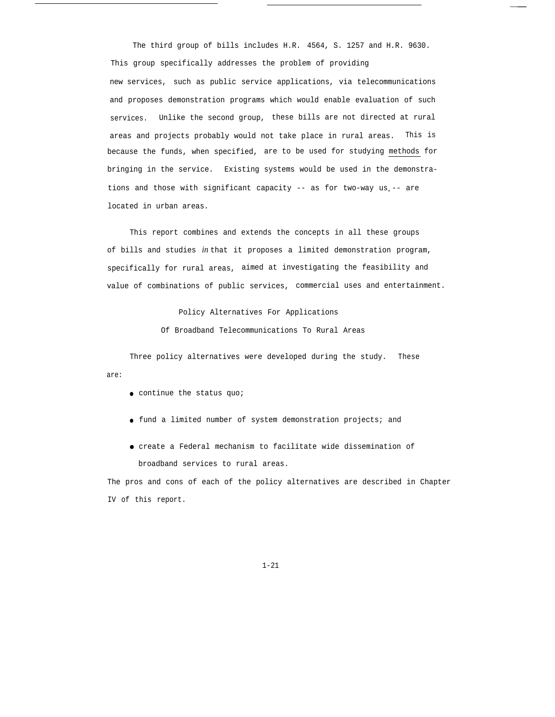The third group of bills includes H.R. 4564, S. 1257 and H.R. 9630. This group specifically addresses the problem of providing new services, such as public service applications, via telecommunications and proposes demonstration programs which would enable evaluation of such services. Unlike the second group, these bills are not directed at rural areas and projects probably would not take place in rural areas. This is because the funds, when specified, are to be used for studying methods for bringing in the service. Existing systems would be used in the demonstrations and those with significant capacity -- as for two-way us<sub>e</sub>-- are located in urban areas.

This report combines and extends the concepts in all these groups of bills and studies *in* that it proposes a limited demonstration program, specifically for rural areas, aimed at investigating the feasibility and value of combinations of public services, commercial uses and entertainment.

Policy Alternatives For Applications

Of Broadband Telecommunications To Rural Areas

Three policy alternatives were developed during the study. These are:

- continue the status quo;
- fund a limited number of system demonstration projects; and
- create a Federal mechanism to facilitate wide dissemination of broadband services to rural areas.

The pros and cons of each of the policy alternatives are described in Chapter IV of this report.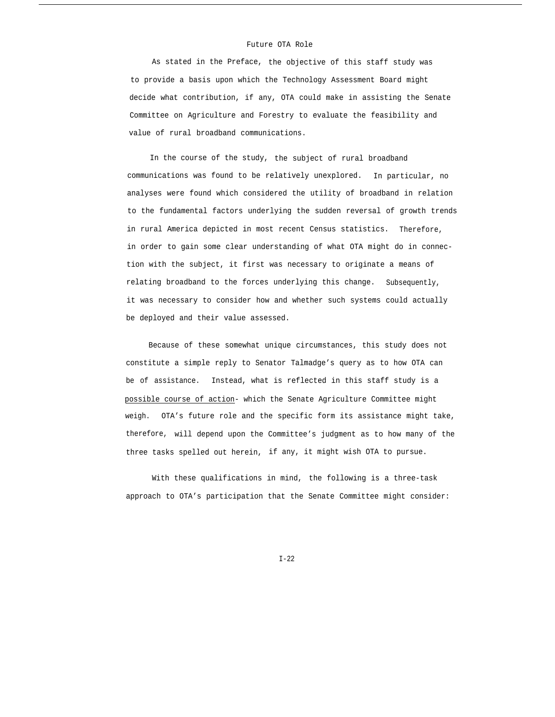#### Future OTA Role

As stated in the Preface, the objective of this staff study was to provide a basis upon which the Technology Assessment Board might decide what contribution, if any, OTA could make in assisting the Senate Committee on Agriculture and Forestry to evaluate the feasibility and value of rural broadband communications.

In the course of the study, the subject of rural broadband communications was found to be relatively unexplored. In particular, no analyses were found which considered the utility of broadband in relation to the fundamental factors underlying the sudden reversal of growth trends in rural America depicted in most recent Census statistics. Therefore, in order to gain some clear understanding of what OTA might do in connection with the subject, it first was necessary to originate a means of relating broadband to the forces underlying this change. Subsequently, it was necessary to consider how and whether such systems could actually be deployed and their value assessed.

Because of these somewhat unique circumstances, this study does not constitute a simple reply to Senator Talmadge's query as to how OTA can be of assistance. Instead, what is reflected in this staff study is a possible course of action- which the Senate Agriculture Committee might weigh. OTA's future role and the specific form its assistance might take, therefore, will depend upon the Committee's judgment as to how many of the three tasks spelled out herein, if any, it might wish OTA to pursue.

With these qualifications in mind, the following is a three-task approach to OTA's participation that the Senate Committee might consider: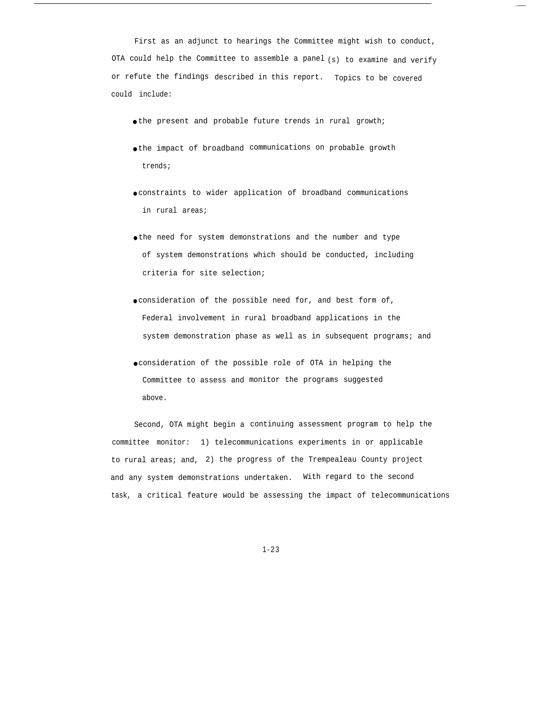First as an adjunct to hearings the Committee might wish to conduct, OTA could help the Committee to assemble a panel (s) to examine and verify or refute the findings described in this report. Topics to be covered could include:

- the present and probable future trends in rural growth;
- the impact of broadband communications on probable growth trends;
- constraints to wider application of broadband communications in rural areas;
- the need for system demonstrations and the number and type of system demonstrations which should be conducted, including criteria for site selection;
- consideration of the possible need for, and best form of, Federal involvement in rural broadband applications in the system demonstration phase as well as in subsequent programs; and
- consideration of the possible role of OTA in helping the Committee to assess and monitor the programs suggested above.

Second, OTA might begin a continuing assessment program to help the committee monitor: 1) telecommunications experiments in or applicable to rural areas; and, 2) the progress of the Trempealeau County project and any system demonstrations undertaken. With regard to the second task, a critical feature would be assessing the impact of telecommunications

1-2 3